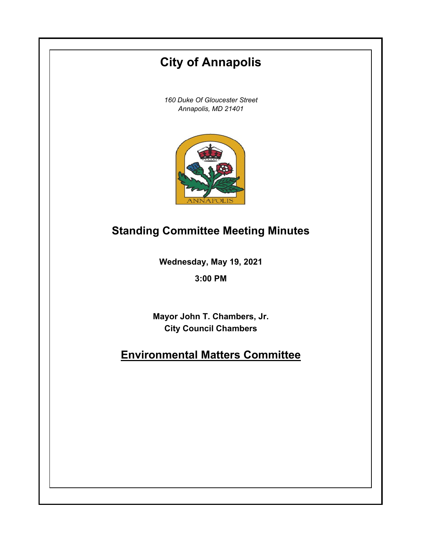# **City of Annapolis**

*160 Duke Of Gloucester Street Annapolis, MD 21401*



# **Standing Committee Meeting Minutes**

**Wednesday, May 19, 2021**

**3:00 PM**

**Mayor John T. Chambers, Jr. City Council Chambers**

# **Environmental Matters Committee**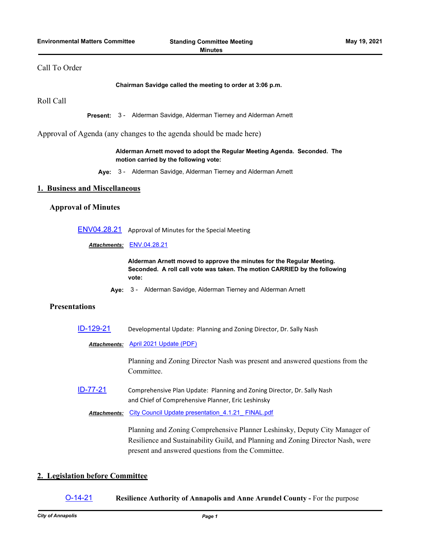# Call To Order

#### **Chairman Savidge called the meeting to order at 3:06 p.m.**

Roll Call

**Present:** 3 - Alderman Savidge, Alderman Tierney and Alderman Arnett

Approval of Agenda (any changes to the agenda should be made here)

#### **Alderman Arnett moved to adopt the Regular Meeting Agenda. Seconded. The motion carried by the following vote:**

**Aye:** 3 - Alderman Savidge, Alderman Tierney and Alderman Arnett

#### **1. Business and Miscellaneous**

#### **Approval of Minutes**

[ENV04.28.21](http://annapolismd.legistar.com/gateway.aspx?m=l&id=/matter.aspx?key=5295) Approval of Minutes for the Special Meeting

*Attachments:* [ENV.04.28.21](http://annapolismd.legistar.com/gateway.aspx?M=F&ID=ff32a528-cd0c-4c03-a36d-1d7bfd9aba1a.pdf)

**Alderman Arnett moved to approve the minutes for the Regular Meeting. Seconded. A roll call vote was taken. The motion CARRIED by the following vote:**

**Aye:** 3 - Alderman Savidge, Alderman Tierney and Alderman Arnett

## **Presentations**

[ID-129-21](http://annapolismd.legistar.com/gateway.aspx?m=l&id=/matter.aspx?key=5297) Developmental Update: Planning and Zoning Director, Dr. Sally Nash

*Attachments:* [April 2021 Update \(PDF\)](http://annapolismd.legistar.com/gateway.aspx?M=F&ID=20d3278f-cfb3-4956-b29a-ba9a9e8c2967.pdf)

Planning and Zoning Director Nash was present and answered questions from the Committee.

[ID-77-21](http://annapolismd.legistar.com/gateway.aspx?m=l&id=/matter.aspx?key=5215) Comprehensive Plan Update: Planning and Zoning Director, Dr. Sally Nash and Chief of Comprehensive Planner, Eric Leshinsky

*Attachments:* [City Council Update presentation\\_4.1.21\\_ FINAL.pdf](http://annapolismd.legistar.com/gateway.aspx?M=F&ID=f039717b-2cc9-4ddf-9184-5bb1e814fa67.pdf)

Planning and Zoning Comprehensive Planner Leshinsky, Deputy City Manager of Resilience and Sustainability Guild, and Planning and Zoning Director Nash, were present and answered questions from the Committee.

# **2. Legislation before Committee**

### [O-14-21](http://annapolismd.legistar.com/gateway.aspx?m=l&id=/matter.aspx?key=5216) **Resilience Authority of Annapolis and Anne Arundel County -** For the purpose